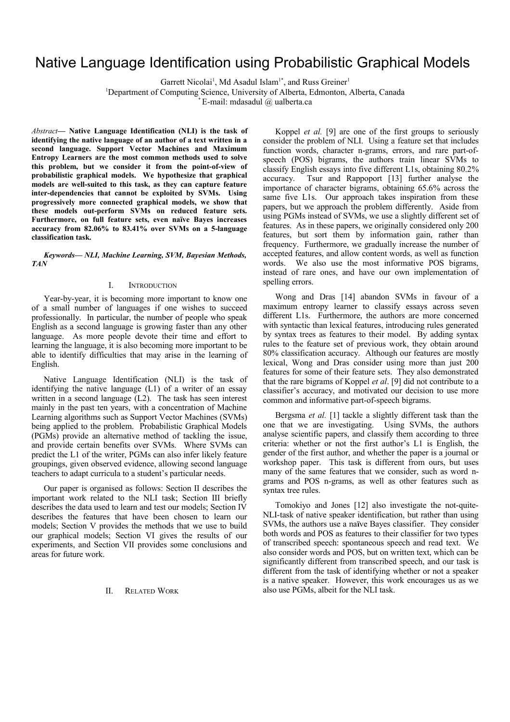# Native Language Identification using Probabilistic Graphical Models

Garrett Nicolai<sup>1</sup>, Md Asadul Islam<sup>1\*</sup>, and Russ Greiner<sup>1</sup>

<sup>1</sup>Department of Computing Science, University of Alberta, Edmonton, Alberta, Canada

 $E$ -mail: mdasadul  $\omega$  ualberta.ca

*Abstract***— Native Language Identification (NLI) is the task of identifying the native language of an author of a text written in a second language. Support Vector Machines and Maximum Entropy Learners are the most common methods used to solve this problem, but we consider it from the point-of-view of probabilistic graphical models. We hypothesize that graphical models are well-suited to this task, as they can capture feature inter-dependencies that cannot be exploited by SVMs. Using progressively more connected graphical models, we show that these models out-perform SVMs on reduced feature sets. Furthermore, on full feature sets, even naïve Bayes increases accuracy from 82.06% to 83.41% over SVMs on a 5-language classification task.** 

*Keywords— NLI, Machine Learning, SVM, Bayesian Methods, TAN* 

# I. INTRODUCTION

Year-by-year, it is becoming more important to know one of a small number of languages if one wishes to succeed professionally. In particular, the number of people who speak English as a second language is growing faster than any other language. As more people devote their time and effort to learning the language, it is also becoming more important to be able to identify difficulties that may arise in the learning of English.

Native Language Identification (NLI) is the task of identifying the native language (L1) of a writer of an essay written in a second language (L2). The task has seen interest mainly in the past ten years, with a concentration of Machine Learning algorithms such as Support Vector Machines (SVMs) being applied to the problem. Probabilistic Graphical Models (PGMs) provide an alternative method of tackling the issue, and provide certain benefits over SVMs. Where SVMs can predict the L1 of the writer, PGMs can also infer likely feature groupings, given observed evidence, allowing second language teachers to adapt curricula to a student's particular needs.

Our paper is organised as follows: Section II describes the important work related to the NLI task; Section III briefly describes the data used to learn and test our models; Section IV describes the features that have been chosen to learn our models; Section V provides the methods that we use to build our graphical models; Section VI gives the results of our experiments, and Section VII provides some conclusions and areas for future work.

# II. RELATED WORK

Koppel *et al.* [9] are one of the first groups to seriously consider the problem of NLI. Using a feature set that includes function words, character n-grams, errors, and rare part-ofspeech (POS) bigrams, the authors train linear SVMs to classify English essays into five different L1s, obtaining 80.2% accuracy. Tsur and Rappoport [13] further analyse the importance of character bigrams, obtaining 65.6% across the same five L1s. Our approach takes inspiration from these papers, but we approach the problem differently. Aside from using PGMs instead of SVMs, we use a slightly different set of features. As in these papers, we originally considered only 200 features, but sort them by information gain, rather than frequency. Furthermore, we gradually increase the number of accepted features, and allow content words, as well as function words. We also use the most informative POS bigrams, instead of rare ones, and have our own implementation of spelling errors.

Wong and Dras [14] abandon SVMs in favour of a maximum entropy learner to classify essays across seven different L1s. Furthermore, the authors are more concerned with syntactic than lexical features, introducing rules generated by syntax trees as features to their model. By adding syntax rules to the feature set of previous work, they obtain around 80% classification accuracy. Although our features are mostly lexical, Wong and Dras consider using more than just 200 features for some of their feature sets. They also demonstrated that the rare bigrams of Koppel *et al*. [9] did not contribute to a classifier's accuracy, and motivated our decision to use more common and informative part-of-speech bigrams.

Bergsma *et al.* [1] tackle a slightly different task than the one that we are investigating. Using SVMs, the authors analyse scientific papers, and classify them according to three criteria: whether or not the first author's L1 is English, the gender of the first author, and whether the paper is a journal or workshop paper. This task is different from ours, but uses many of the same features that we consider, such as word ngrams and POS n-grams, as well as other features such as syntax tree rules.

Tomokiyo and Jones [12] also investigate the not-quite-NLI-task of native speaker identification, but rather than using SVMs, the authors use a na**ï**ve Bayes classifier. They consider both words and POS as features to their classifier for two types of transcribed speech: spontaneous speech and read text. We also consider words and POS, but on written text, which can be significantly different from transcribed speech, and our task is different from the task of identifying whether or not a speaker is a native speaker. However, this work encourages us as we also use PGMs, albeit for the NLI task.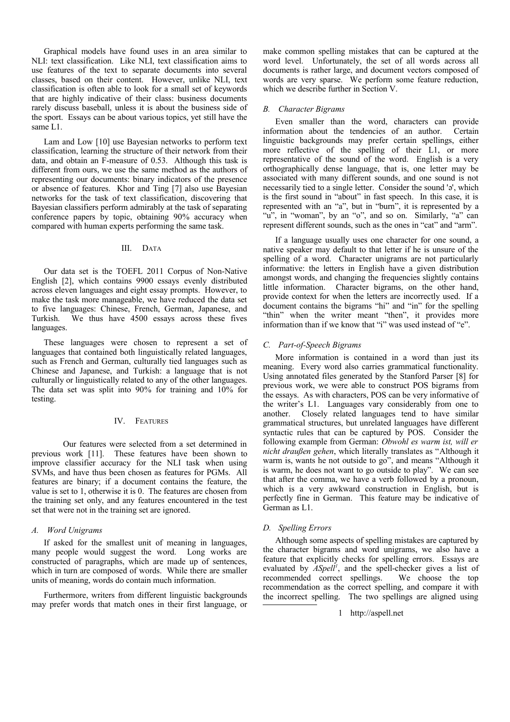Graphical models have found uses in an area similar to NLI: text classification. Like NLI, text classification aims to use features of the text to separate documents into several classes, based on their content. However, unlike NLI, text classification is often able to look for a small set of keywords that are highly indicative of their class: business documents rarely discuss baseball, unless it is about the business side of the sport. Essays can be about various topics, yet still have the same L1.

Lam and Low [10] use Bayesian networks to perform text classification, learning the structure of their network from their data, and obtain an F-measure of 0.53. Although this task is different from ours, we use the same method as the authors of representing our documents: binary indicators of the presence or absence of features. Khor and Ting [7] also use Bayesian networks for the task of text classification, discovering that Bayesian classifiers perform admirably at the task of separating conference papers by topic, obtaining 90% accuracy when compared with human experts performing the same task.

# III. DATA

Our data set is the TOEFL 2011 Corpus of Non-Native English [2], which contains 9900 essays evenly distributed across eleven languages and eight essay prompts. However, to make the task more manageable, we have reduced the data set to five languages: Chinese, French, German, Japanese, and Turkish. We thus have 4500 essays across these fives languages.

These languages were chosen to represent a set of languages that contained both linguistically related languages, such as French and German, culturally tied languages such as Chinese and Japanese, and Turkish: a language that is not culturally or linguistically related to any of the other languages. The data set was split into 90% for training and 10% for testing.

# IV. FEATURES

 Our features were selected from a set determined in previous work [11]. These features have been shown to improve classifier accuracy for the NLI task when using SVMs, and have thus been chosen as features for PGMs. All features are binary; if a document contains the feature, the value is set to 1, otherwise it is 0. The features are chosen from the training set only, and any features encountered in the test set that were not in the training set are ignored.

# *A. Word Unigrams*

If asked for the smallest unit of meaning in languages, many people would suggest the word. Long works are constructed of paragraphs, which are made up of sentences, which in turn are composed of words. While there are smaller units of meaning, words do contain much information.

Furthermore, writers from different linguistic backgrounds may prefer words that match ones in their first language, or make common spelling mistakes that can be captured at the word level. Unfortunately, the set of all words across all documents is rather large, and document vectors composed of words are very sparse. We perform some feature reduction, which we describe further in Section V.

# *B. Character Bigrams*

Even smaller than the word, characters can provide information about the tendencies of an author. Certain linguistic backgrounds may prefer certain spellings, either more reflective of the spelling of their L1, or more representative of the sound of the word. English is a very orthographically dense language, that is, one letter may be associated with many different sounds, and one sound is not necessarily tied to a single letter. Consider the sound 'ǝ', which is the first sound in "about" in fast speech. In this case, it is represented with an "a", but in "burn", it is represented by a "u", in "woman", by an "o", and so on. Similarly, "a" can represent different sounds, such as the ones in "cat" and "arm".

If a language usually uses one character for one sound, a native speaker may default to that letter if he is unsure of the spelling of a word. Character unigrams are not particularly informative: the letters in English have a given distribution amongst words, and changing the frequencies slightly contains little information. Character bigrams, on the other hand, provide context for when the letters are incorrectly used. If a document contains the bigrams "hi" and "in" for the spelling "thin" when the writer meant "then", it provides more information than if we know that "i" was used instead of "e".

# *C. Part-of-Speech Bigrams*

More information is contained in a word than just its meaning. Every word also carries grammatical functionality. Using annotated files generated by the Stanford Parser [8] for previous work, we were able to construct POS bigrams from the essays. As with characters, POS can be very informative of the writer's L1. Languages vary considerably from one to another. Closely related languages tend to have similar grammatical structures, but unrelated languages have different syntactic rules that can be captured by POS. Consider the following example from German: *Obwohl es warm ist, will er nicht draußen gehen*, which literally translates as "Although it warm is, wants he not outside to go", and means "Although it is warm, he does not want to go outside to play". We can see that after the comma, we have a verb followed by a pronoun, which is a very awkward construction in English, but is perfectly fine in German. This feature may be indicative of German as L1.

# *D. Spelling Errors*

Although some aspects of spelling mistakes are captured by the character bigrams and word unigrams, we also have a feature that explicitly checks for spelling errors. Essays are evaluated by *ASpell[1](#page-1-0)* , and the spell-checker gives a list of recommended correct spellings. We choose the top recommendation as the correct spelling, and compare it with the incorrect spelling. The two spellings are aligned using

<span id="page-1-0"></span>1 http://aspell.net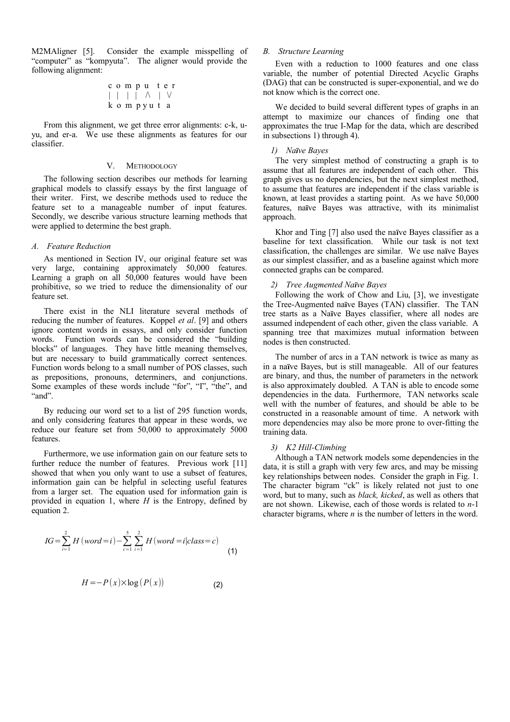M2MAligner [5]. Consider the example misspelling of "computer" as "kompyuta". The aligner would provide the following alignment:

$$
\begin{array}{c|c|c|c|c|c} c & o & m & p & u & t & e & r \\ \hline & | & | & | & | & \wedge & | & \vee \\ k & o & m & p & y & u & t & a \end{array}
$$

From this alignment, we get three error alignments: c-k, uyu, and er-a. We use these alignments as features for our classifier.

#### V. METHODOLOGY

The following section describes our methods for learning graphical models to classify essays by the first language of their writer. First, we describe methods used to reduce the feature set to a manageable number of input features. Secondly, we describe various structure learning methods that were applied to determine the best graph.

# *A. Feature Reduction*

As mentioned in Section IV, our original feature set was very large, containing approximately 50,000 features. Learning a graph on all 50,000 features would have been prohibitive, so we tried to reduce the dimensionality of our feature set.

There exist in the NLI literature several methods of reducing the number of features. Koppel *et al*. [9] and others ignore content words in essays, and only consider function words. Function words can be considered the "building blocks" of languages. They have little meaning themselves, but are necessary to build grammatically correct sentences. Function words belong to a small number of POS classes, such as prepositions, pronouns, determiners, and conjunctions. Some examples of these words include "for", "I", "the", and "and".

By reducing our word set to a list of 295 function words, and only considering features that appear in these words, we reduce our feature set from 50,000 to approximately 5000 features.

Furthermore, we use information gain on our feature sets to further reduce the number of features. Previous work [11] showed that when you only want to use a subset of features, information gain can be helpful in selecting useful features from a larger set. The equation used for information gain is provided in equation 1, where *H* is the Entropy, defined by equation 2.

$$
IG = \sum_{i=1}^{2} H(word = i) - \sum_{c=1}^{5} \sum_{i=1}^{2} H(word = i|class = c)
$$
(1)

$$
H = -P(x) \times \log(P(x))
$$
 (2)

# *B. Structure Learning*

Even with a reduction to 1000 features and one class variable, the number of potential Directed Acyclic Graphs (DAG) that can be constructed is super-exponential, and we do not know which is the correct one.

We decided to build several different types of graphs in an attempt to maximize our chances of finding one that approximates the true I-Map for the data, which are described in subsections 1) through 4).

## *1) Naïve Bayes*

The very simplest method of constructing a graph is to assume that all features are independent of each other. This graph gives us no dependencies, but the next simplest method, to assume that features are independent if the class variable is known, at least provides a starting point. As we have 50,000 features, na**ï**ve Bayes was attractive, with its minimalist approach.

Khor and Ting [7] also used the na**ï**ve Bayes classifier as a baseline for text classification. While our task is not text classification, the challenges are similar. We use na**ï**ve Bayes as our simplest classifier, and as a baseline against which more connected graphs can be compared.

# *2) Tree Augmented Naïve Bayes*

Following the work of Chow and Liu, [3], we investigate the Tree-Augmented na**ï**ve Bayes (TAN) classifier. The TAN tree starts as a Na**ï**ve Bayes classifier, where all nodes are assumed independent of each other, given the class variable. A spanning tree that maximizes mutual information between nodes is then constructed.

The number of arcs in a TAN network is twice as many as in a na**ï**ve Bayes, but is still manageable. All of our features are binary, and thus, the number of parameters in the network is also approximately doubled. A TAN is able to encode some dependencies in the data. Furthermore, TAN networks scale well with the number of features, and should be able to be constructed in a reasonable amount of time. A network with more dependencies may also be more prone to over-fitting the training data.

# *3) K2 Hill-Climbing*

Although a TAN network models some dependencies in the data, it is still a graph with very few arcs, and may be missing key relationships between nodes. Consider the graph in Fig. 1. The character bigram "ck" is likely related not just to one word, but to many, such as *black, kicked*, as well as others that are not shown. Likewise, each of those words is related to *n*-1 character bigrams, where *n* is the number of letters in the word.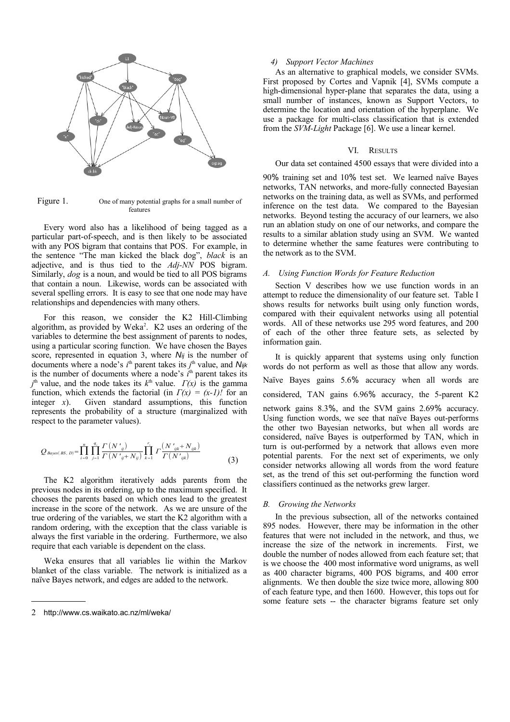

Figure 1. One of many potential graphs for a small number of features

Every word also has a likelihood of being tagged as a particular part-of-speech, and is then likely to be associated with any POS bigram that contains that POS. For example, in the sentence "The man kicked the black dog", *black* is an adjective, and is thus tied to the *Adj-NN* POS bigram. Similarly, *dog* is a noun, and would be tied to all POS bigrams that contain a noun. Likewise, words can be associated with several spelling errors. It is easy to see that one node may have relationships and dependencies with many others.

For this reason, we consider the K2 Hill-Climbing algorithm, as provided by Weka<sup>[2](#page-3-0)</sup>. K2 uses an ordering of the variables to determine the best assignment of parents to nodes, using a particular scoring function. We have chosen the Bayes score, represented in equation 3, where *Nij* is the number of documents where a node's *i*<sup>th</sup> parent takes its *j*<sup>th</sup> value, and *Nijk* is the number of documents where a node's  $i<sup>th</sup>$  parent takes its  $J^{\text{th}}$  value, and the node takes its  $k^{\text{th}}$  value.  $\Gamma(x)$  is the gamma function, which extends the factorial (in  $\Gamma(x) = (x-1)!$  for an integer  $x$ ). Given standard assumptions, this function represents the probability of a structure (marginalized with respect to the parameter values).

$$
Q_{Bayes(BS, D)} = \prod_{i=0}^{n} \prod_{j=1}^{q_i} \frac{\Gamma(N'_{ij})}{\Gamma(N'_{ij} + N_{ij})} \prod_{k=1}^{r_i} \Gamma\frac{(N'_{ijk} + N_{ijk})}{\Gamma(N'_{ijk})}
$$
(3)

The K2 algorithm iteratively adds parents from the previous nodes in its ordering, up to the maximum specified. It chooses the parents based on which ones lead to the greatest increase in the score of the network. As we are unsure of the true ordering of the variables, we start the K2 algorithm with a random ordering, with the exception that the class variable is always the first variable in the ordering. Furthermore, we also require that each variable is dependent on the class.

Weka ensures that all variables lie within the Markov blanket of the class variable. The network is initialized as a naïve Bayes network, and edges are added to the network.

# *4) Support Vector Machines*

As an alternative to graphical models, we consider SVMs. First proposed by Cortes and Vapnik [4], SVMs compute a high-dimensional hyper-plane that separates the data, using a small number of instances, known as Support Vectors, to determine the location and orientation of the hyperplane. We use a package for multi-class classification that is extended from the *SVM-Light* Package [6]. We use a linear kernel.

# VI. RESULTS

# Our data set contained 4500 essays that were divided into a

90% training set and 10% test set. We learned naïve Bayes networks, TAN networks, and more-fully connected Bayesian networks on the training data, as well as SVMs, and performed inference on the test data. We compared to the Bayesian networks. Beyond testing the accuracy of our learners, we also run an ablation study on one of our networks, and compare the results to a similar ablation study using an SVM. We wanted to determine whether the same features were contributing to the network as to the SVM.

#### *A. Using Function Words for Feature Reduction*

Section V describes how we use function words in an attempt to reduce the dimensionality of our feature set. Table I shows results for networks built using only function words, compared with their equivalent networks using all potential words. All of these networks use 295 word features, and 200 of each of the other three feature sets, as selected by information gain.

It is quickly apparent that systems using only function words do not perform as well as those that allow any words. Naïve Bayes gains 5.6% accuracy when all words are considered, TAN gains 6.96% accuracy, the 5-parent K2 network gains 8.3%, and the SVM gains 2.69% accuracy. Using function words, we see that naïve Bayes out-performs the other two Bayesian networks, but when all words are considered, naïve Bayes is outperformed by TAN, which in turn is out-performed by a network that allows even more potential parents. For the next set of experiments, we only consider networks allowing all words from the word feature set, as the trend of this set out-performing the function word classifiers continued as the networks grew larger.

#### *B. Growing the Networks*

In the previous subsection, all of the networks contained 895 nodes. However, there may be information in the other features that were not included in the network, and thus, we increase the size of the network in increments. First, we double the number of nodes allowed from each feature set; that is we choose the 400 most informative word unigrams, as well as 400 character bigrams, 400 POS bigrams, and 400 error alignments. We then double the size twice more, allowing 800 of each feature type, and then 1600. However, this tops out for some feature sets -- the character bigrams feature set only

<span id="page-3-0"></span><sup>2</sup> http://www.cs.waikato.ac.nz/ml/weka/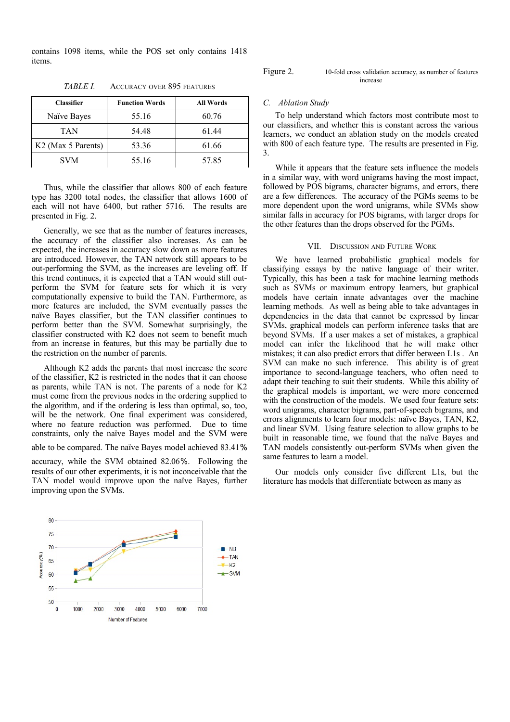contains 1098 items, while the POS set only contains 1418 items.

| <b>Classifier</b>              | <b>Function Words</b> | <b>All Words</b> |
|--------------------------------|-----------------------|------------------|
| Naïve Bayes                    | 55.16                 | 60.76            |
| TAN                            | 54.48                 | 6144             |
| K <sub>2</sub> (Max 5 Parents) | 53.36                 | 61.66            |
| <b>SVM</b>                     | 55.16                 | 57.85            |

TABLE I. ACCURACY OVER 895 FEATURES

Thus, while the classifier that allows 800 of each feature type has 3200 total nodes, the classifier that allows 1600 of each will not have 6400, but rather 5716. The results are presented in Fig. 2.

Generally, we see that as the number of features increases, the accuracy of the classifier also increases. As can be expected, the increases in accuracy slow down as more features are introduced. However, the TAN network still appears to be out-performing the SVM, as the increases are leveling off. If this trend continues, it is expected that a TAN would still outperform the SVM for feature sets for which it is very computationally expensive to build the TAN. Furthermore, as more features are included, the SVM eventually passes the naïve Bayes classifier, but the TAN classifier continues to perform better than the SVM. Somewhat surprisingly, the classifier constructed with K2 does not seem to benefit much from an increase in features, but this may be partially due to the restriction on the number of parents.

Although K2 adds the parents that most increase the score of the classifier, K2 is restricted in the nodes that it can choose as parents, while TAN is not. The parents of a node for K2 must come from the previous nodes in the ordering supplied to the algorithm, and if the ordering is less than optimal, so, too, will be the network. One final experiment was considered, where no feature reduction was performed. Due to time constraints, only the naïve Bayes model and the SVM were

able to be compared. The naïve Bayes model achieved 83.41%

accuracy, while the SVM obtained 82.06%. Following the results of our other experiments, it is not inconceivable that the TAN model would improve upon the naïve Bayes, further improving upon the SVMs.



#### Figure 2. 10-fold cross validation accuracy, as number of features increase

#### *C. Ablation Study*

To help understand which factors most contribute most to our classifiers, and whether this is constant across the various learners, we conduct an ablation study on the models created with 800 of each feature type. The results are presented in Fig. 3.

While it appears that the feature sets influence the models in a similar way, with word unigrams having the most impact, followed by POS bigrams, character bigrams, and errors, there are a few differences. The accuracy of the PGMs seems to be more dependent upon the word unigrams, while SVMs show similar falls in accuracy for POS bigrams, with larger drops for the other features than the drops observed for the PGMs.

# VII. DISCUSSION AND FUTURE WORK

We have learned probabilistic graphical models for classifying essays by the native language of their writer. Typically, this has been a task for machine learning methods such as SVMs or maximum entropy learners, but graphical models have certain innate advantages over the machine learning methods. As well as being able to take advantages in dependencies in the data that cannot be expressed by linear SVMs, graphical models can perform inference tasks that are beyond SVMs. If a user makes a set of mistakes, a graphical model can infer the likelihood that he will make other mistakes; it can also predict errors that differ between L1s . An SVM can make no such inference. This ability is of great importance to second-language teachers, who often need to adapt their teaching to suit their students. While this ability of the graphical models is important, we were more concerned with the construction of the models. We used four feature sets: word unigrams, character bigrams, part-of-speech bigrams, and errors alignments to learn four models: naïve Bayes, TAN, K2, and linear SVM. Using feature selection to allow graphs to be built in reasonable time, we found that the naïve Bayes and TAN models consistently out-perform SVMs when given the same features to learn a model.

Our models only consider five different L1s, but the literature has models that differentiate between as many as